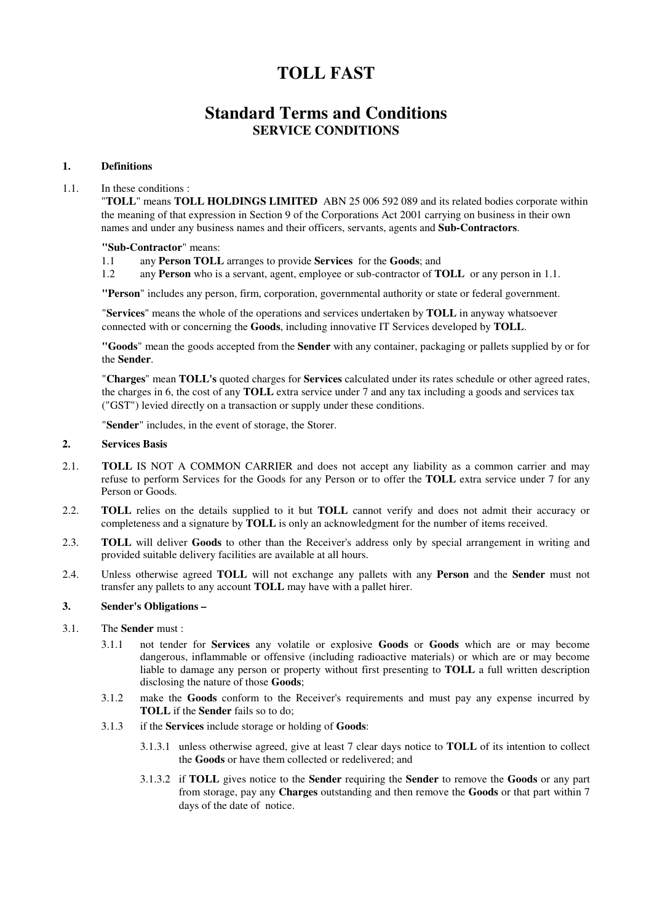# **TOLL FAST**

## **Standard Terms and Conditions SERVICE CONDITIONS**

## **1. Definitions**

## 1.1. In these conditions :

"**TOLL**" means **TOLL HOLDINGS LIMITED** ABN 25 006 592 089 and its related bodies corporate within the meaning of that expression in Section 9 of the Corporations Act 2001 carrying on business in their own names and under any business names and their officers, servants, agents and **Sub-Contractors**.

## **"Sub-Contractor**" means:

- 1.1 any **Person TOLL** arranges to provide **Services** for the **Goods**; and
- 1.2 any **Person** who is a servant, agent, employee or sub-contractor of **TOLL** or any person in 1.1.

**"Person**" includes any person, firm, corporation, governmental authority or state or federal government.

"**Services**" means the whole of the operations and services undertaken by **TOLL** in anyway whatsoever connected with or concerning the **Goods**, including innovative IT Services developed by **TOLL**.

**"Goods**" mean the goods accepted from the **Sender** with any container, packaging or pallets supplied by or for the **Sender**.

"**Charges**" mean **TOLL's** quoted charges for **Services** calculated under its rates schedule or other agreed rates, the charges in 6, the cost of any **TOLL** extra service under 7 and any tax including a goods and services tax ("GST") levied directly on a transaction or supply under these conditions.

"**Sender**" includes, in the event of storage, the Storer.

## **2. Services Basis**

- 2.1. **TOLL** IS NOT A COMMON CARRIER and does not accept any liability as a common carrier and may refuse to perform Services for the Goods for any Person or to offer the **TOLL** extra service under 7 for any Person or Goods.
- 2.2. **TOLL** relies on the details supplied to it but **TOLL** cannot verify and does not admit their accuracy or completeness and a signature by **TOLL** is only an acknowledgment for the number of items received.
- 2.3. **TOLL** will deliver **Goods** to other than the Receiver's address only by special arrangement in writing and provided suitable delivery facilities are available at all hours.
- 2.4. Unless otherwise agreed **TOLL** will not exchange any pallets with any **Person** and the **Sender** must not transfer any pallets to any account **TOLL** may have with a pallet hirer.

## **3. Sender's Obligations –**

- 3.1. The **Sender** must :
	- 3.1.1 not tender for **Services** any volatile or explosive **Goods** or **Goods** which are or may become dangerous, inflammable or offensive (including radioactive materials) or which are or may become liable to damage any person or property without first presenting to **TOLL** a full written description disclosing the nature of those **Goods**;
	- 3.1.2 make the **Goods** conform to the Receiver's requirements and must pay any expense incurred by **TOLL** if the **Sender** fails so to do;
	- 3.1.3 if the **Services** include storage or holding of **Goods**:
		- 3.1.3.1 unless otherwise agreed, give at least 7 clear days notice to **TOLL** of its intention to collect the **Goods** or have them collected or redelivered; and
		- 3.1.3.2 if **TOLL** gives notice to the **Sender** requiring the **Sender** to remove the **Goods** or any part from storage, pay any **Charges** outstanding and then remove the **Goods** or that part within 7 days of the date of notice.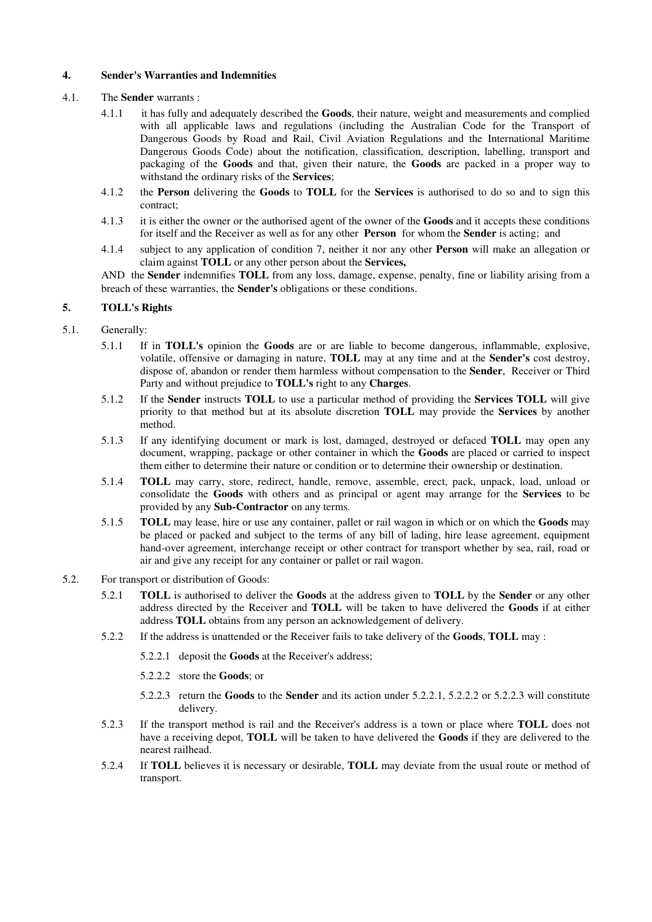## **4. Sender's Warranties and Indemnities**

## 4.1. The **Sender** warrants :

- 4.1.1 it has fully and adequately described the **Goods**, their nature, weight and measurements and complied with all applicable laws and regulations (including the Australian Code for the Transport of Dangerous Goods by Road and Rail, Civil Aviation Regulations and the International Maritime Dangerous Goods Code) about the notification, classification, description, labelling, transport and packaging of the **Goods** and that, given their nature, the **Goods** are packed in a proper way to withstand the ordinary risks of the **Services**;
- 4.1.2 the **Person** delivering the **Goods** to **TOLL** for the **Services** is authorised to do so and to sign this contract;
- 4.1.3 it is either the owner or the authorised agent of the owner of the **Goods** and it accepts these conditions for itself and the Receiver as well as for any other **Person** for whom the **Sender** is acting; and
- 4.1.4 subject to any application of condition 7, neither it nor any other **Person** will make an allegation or claim against **TOLL** or any other person about the **Services,**

AND the **Sender** indemnifies **TOLL** from any loss, damage, expense, penalty, fine or liability arising from a breach of these warranties, the **Sender's** obligations or these conditions.

## **5. TOLL's Rights**

## 5.1. Generally:

- 5.1.1 If in **TOLL's** opinion the **Goods** are or are liable to become dangerous, inflammable, explosive, volatile, offensive or damaging in nature, **TOLL** may at any time and at the **Sender's** cost destroy, dispose of, abandon or render them harmless without compensation to the **Sender**, Receiver or Third Party and without prejudice to **TOLL's** right to any **Charges**.
- 5.1.2 If the **Sender** instructs **TOLL** to use a particular method of providing the **Services TOLL** will give priority to that method but at its absolute discretion **TOLL** may provide the **Services** by another method.
- 5.1.3 If any identifying document or mark is lost, damaged, destroyed or defaced **TOLL** may open any document, wrapping, package or other container in which the **Goods** are placed or carried to inspect them either to determine their nature or condition or to determine their ownership or destination.
- 5.1.4 **TOLL** may carry, store, redirect, handle, remove, assemble, erect, pack, unpack, load, unload or consolidate the **Goods** with others and as principal or agent may arrange for the **Services** to be provided by any **Sub-Contractor** on any terms.
- 5.1.5 **TOLL** may lease, hire or use any container, pallet or rail wagon in which or on which the **Goods** may be placed or packed and subject to the terms of any bill of lading, hire lease agreement, equipment hand-over agreement, interchange receipt or other contract for transport whether by sea, rail, road or air and give any receipt for any container or pallet or rail wagon.
- 5.2. For transport or distribution of Goods:
	- 5.2.1 **TOLL** is authorised to deliver the **Goods** at the address given to **TOLL** by the **Sender** or any other address directed by the Receiver and **TOLL** will be taken to have delivered the **Goods** if at either address **TOLL** obtains from any person an acknowledgement of delivery.
	- 5.2.2 If the address is unattended or the Receiver fails to take delivery of the **Goods**, **TOLL** may :
		- 5.2.2.1 deposit the **Goods** at the Receiver's address;
		- 5.2.2.2 store the **Goods**; or
		- 5.2.2.3 return the **Goods** to the **Sender** and its action under 5.2.2.1, 5.2.2.2 or 5.2.2.3 will constitute delivery.
	- 5.2.3 If the transport method is rail and the Receiver's address is a town or place where **TOLL** does not have a receiving depot, **TOLL** will be taken to have delivered the **Goods** if they are delivered to the nearest railhead.
	- 5.2.4 If **TOLL** believes it is necessary or desirable, **TOLL** may deviate from the usual route or method of transport.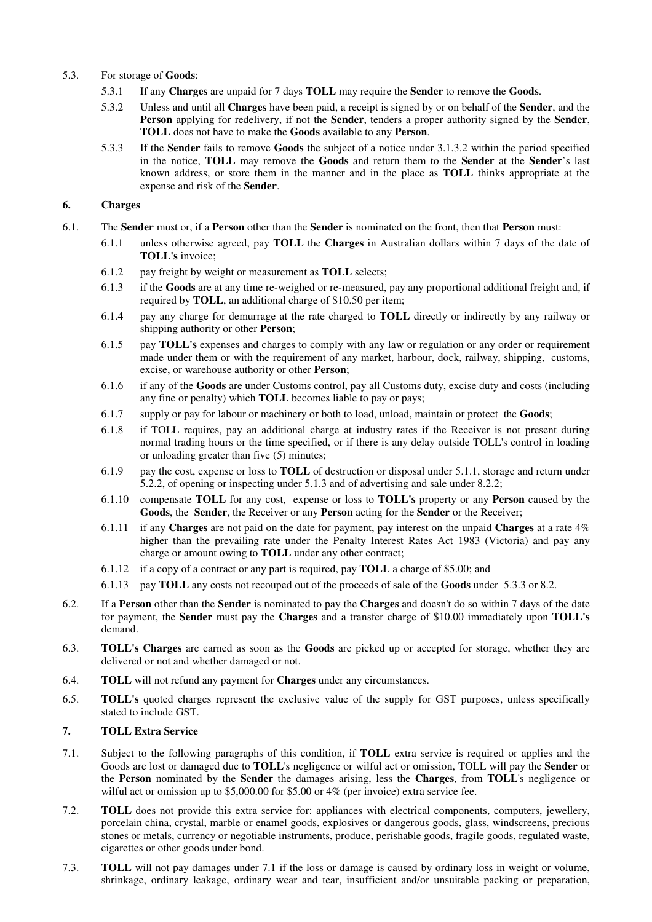- 5.3. For storage of **Goods**:
	- 5.3.1 If any **Charges** are unpaid for 7 days **TOLL** may require the **Sender** to remove the **Goods**.
	- 5.3.2 Unless and until all **Charges** have been paid, a receipt is signed by or on behalf of the **Sender**, and the **Person** applying for redelivery, if not the **Sender**, tenders a proper authority signed by the **Sender**, **TOLL** does not have to make the **Goods** available to any **Person**.
	- 5.3.3 If the **Sender** fails to remove **Goods** the subject of a notice under 3.1.3.2 within the period specified in the notice, **TOLL** may remove the **Goods** and return them to the **Sender** at the **Sender**'s last known address, or store them in the manner and in the place as **TOLL** thinks appropriate at the expense and risk of the **Sender**.

## **6. Charges**

- 6.1. The **Sender** must or, if a **Person** other than the **Sender** is nominated on the front, then that **Person** must:
	- 6.1.1 unless otherwise agreed, pay **TOLL** the **Charges** in Australian dollars within 7 days of the date of **TOLL's** invoice;
	- 6.1.2 pay freight by weight or measurement as **TOLL** selects;
	- 6.1.3 if the **Goods** are at any time re-weighed or re-measured, pay any proportional additional freight and, if required by **TOLL**, an additional charge of \$10.50 per item;
	- 6.1.4 pay any charge for demurrage at the rate charged to **TOLL** directly or indirectly by any railway or shipping authority or other **Person**;
	- 6.1.5 pay **TOLL's** expenses and charges to comply with any law or regulation or any order or requirement made under them or with the requirement of any market, harbour, dock, railway, shipping, customs, excise, or warehouse authority or other **Person**;
	- 6.1.6 if any of the **Goods** are under Customs control, pay all Customs duty, excise duty and costs (including any fine or penalty) which **TOLL** becomes liable to pay or pays;
	- 6.1.7 supply or pay for labour or machinery or both to load, unload, maintain or protect the **Goods**;
	- 6.1.8 if TOLL requires, pay an additional charge at industry rates if the Receiver is not present during normal trading hours or the time specified, or if there is any delay outside TOLL's control in loading or unloading greater than five (5) minutes;
	- 6.1.9 pay the cost, expense or loss to **TOLL** of destruction or disposal under 5.1.1, storage and return under 5.2.2, of opening or inspecting under 5.1.3 and of advertising and sale under 8.2.2;
	- 6.1.10 compensate **TOLL** for any cost, expense or loss to **TOLL's** property or any **Person** caused by the **Goods**, the **Sender**, the Receiver or any **Person** acting for the **Sender** or the Receiver;
	- 6.1.11 if any **Charges** are not paid on the date for payment, pay interest on the unpaid **Charges** at a rate 4% higher than the prevailing rate under the Penalty Interest Rates Act 1983 (Victoria) and pay any charge or amount owing to **TOLL** under any other contract;
	- 6.1.12 if a copy of a contract or any part is required, pay **TOLL** a charge of \$5.00; and
	- 6.1.13 pay **TOLL** any costs not recouped out of the proceeds of sale of the **Goods** under 5.3.3 or 8.2.
- 6.2. If a **Person** other than the **Sender** is nominated to pay the **Charges** and doesn't do so within 7 days of the date for payment, the **Sender** must pay the **Charges** and a transfer charge of \$10.00 immediately upon **TOLL's** demand.
- 6.3. **TOLL's Charges** are earned as soon as the **Goods** are picked up or accepted for storage, whether they are delivered or not and whether damaged or not.
- 6.4. **TOLL** will not refund any payment for **Charges** under any circumstances.
- 6.5. **TOLL's** quoted charges represent the exclusive value of the supply for GST purposes, unless specifically stated to include GST.

## **7. TOLL Extra Service**

- 7.1. Subject to the following paragraphs of this condition, if **TOLL** extra service is required or applies and the Goods are lost or damaged due to **TOLL**'s negligence or wilful act or omission, TOLL will pay the **Sender** or the **Person** nominated by the **Sender** the damages arising, less the **Charges**, from **TOLL**'s negligence or wilful act or omission up to \$5,000.00 for \$5.00 or 4% (per invoice) extra service fee.
- 7.2. **TOLL** does not provide this extra service for: appliances with electrical components, computers, jewellery, porcelain china, crystal, marble or enamel goods, explosives or dangerous goods, glass, windscreens, precious stones or metals, currency or negotiable instruments, produce, perishable goods, fragile goods, regulated waste, cigarettes or other goods under bond.
- 7.3. **TOLL** will not pay damages under 7.1 if the loss or damage is caused by ordinary loss in weight or volume, shrinkage, ordinary leakage, ordinary wear and tear, insufficient and/or unsuitable packing or preparation,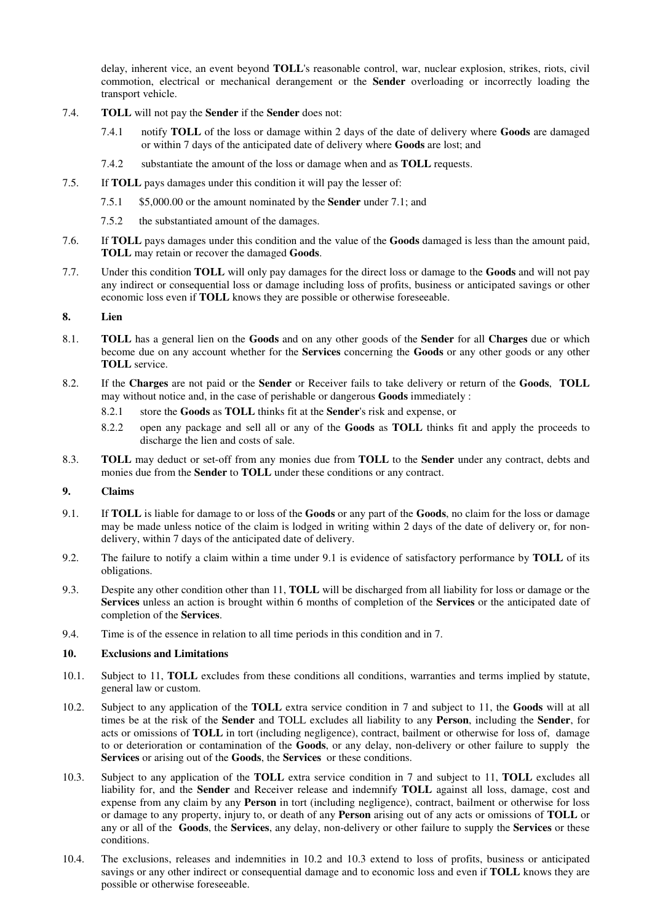delay, inherent vice, an event beyond **TOLL**'s reasonable control, war, nuclear explosion, strikes, riots, civil commotion, electrical or mechanical derangement or the **Sender** overloading or incorrectly loading the transport vehicle.

- 7.4. **TOLL** will not pay the **Sender** if the **Sender** does not:
	- 7.4.1 notify **TOLL** of the loss or damage within 2 days of the date of delivery where **Goods** are damaged or within 7 days of the anticipated date of delivery where **Goods** are lost; and
	- 7.4.2 substantiate the amount of the loss or damage when and as **TOLL** requests.
- 7.5. If **TOLL** pays damages under this condition it will pay the lesser of:
	- 7.5.1 \$5,000.00 or the amount nominated by the **Sender** under 7.1; and
	- 7.5.2 the substantiated amount of the damages.
- 7.6. If **TOLL** pays damages under this condition and the value of the **Goods** damaged is less than the amount paid, **TOLL** may retain or recover the damaged **Goods**.
- 7.7. Under this condition **TOLL** will only pay damages for the direct loss or damage to the **Goods** and will not pay any indirect or consequential loss or damage including loss of profits, business or anticipated savings or other economic loss even if **TOLL** knows they are possible or otherwise foreseeable.

## **8. Lien**

- 8.1. **TOLL** has a general lien on the **Goods** and on any other goods of the **Sender** for all **Charges** due or which become due on any account whether for the **Services** concerning the **Goods** or any other goods or any other **TOLL** service.
- 8.2. If the **Charges** are not paid or the **Sender** or Receiver fails to take delivery or return of the **Goods**, **TOLL** may without notice and, in the case of perishable or dangerous **Goods** immediately :
	- 8.2.1 store the **Goods** as **TOLL** thinks fit at the **Sender**'s risk and expense, or
	- 8.2.2 open any package and sell all or any of the **Goods** as **TOLL** thinks fit and apply the proceeds to discharge the lien and costs of sale.
- 8.3. **TOLL** may deduct or set-off from any monies due from **TOLL** to the **Sender** under any contract, debts and monies due from the **Sender** to **TOLL** under these conditions or any contract.

#### **9. Claims**

- 9.1. If **TOLL** is liable for damage to or loss of the **Goods** or any part of the **Goods**, no claim for the loss or damage may be made unless notice of the claim is lodged in writing within 2 days of the date of delivery or, for nondelivery, within 7 days of the anticipated date of delivery.
- 9.2. The failure to notify a claim within a time under 9.1 is evidence of satisfactory performance by **TOLL** of its obligations.
- 9.3. Despite any other condition other than 11, **TOLL** will be discharged from all liability for loss or damage or the **Services** unless an action is brought within 6 months of completion of the **Services** or the anticipated date of completion of the **Services**.
- 9.4. Time is of the essence in relation to all time periods in this condition and in 7.

## **10. Exclusions and Limitations**

- 10.1. Subject to 11, **TOLL** excludes from these conditions all conditions, warranties and terms implied by statute, general law or custom.
- 10.2. Subject to any application of the **TOLL** extra service condition in 7 and subject to 11, the **Goods** will at all times be at the risk of the **Sender** and TOLL excludes all liability to any **Person**, including the **Sender**, for acts or omissions of **TOLL** in tort (including negligence), contract, bailment or otherwise for loss of, damage to or deterioration or contamination of the **Goods**, or any delay, non-delivery or other failure to supply the **Services** or arising out of the **Goods**, the **Services** or these conditions.
- 10.3. Subject to any application of the **TOLL** extra service condition in 7 and subject to 11, **TOLL** excludes all liability for, and the **Sender** and Receiver release and indemnify **TOLL** against all loss, damage, cost and expense from any claim by any **Person** in tort (including negligence), contract, bailment or otherwise for loss or damage to any property, injury to, or death of any **Person** arising out of any acts or omissions of **TOLL** or any or all of the **Goods**, the **Services**, any delay, non-delivery or other failure to supply the **Services** or these conditions.
- 10.4. The exclusions, releases and indemnities in 10.2 and 10.3 extend to loss of profits, business or anticipated savings or any other indirect or consequential damage and to economic loss and even if **TOLL** knows they are possible or otherwise foreseeable.